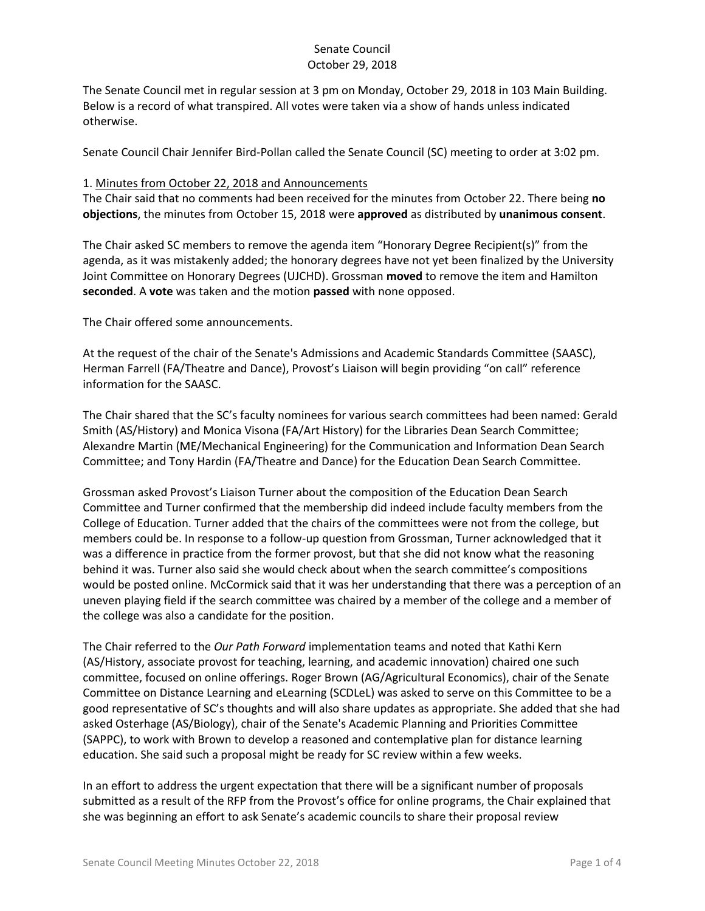The Senate Council met in regular session at 3 pm on Monday, October 29, 2018 in 103 Main Building. Below is a record of what transpired. All votes were taken via a show of hands unless indicated otherwise.

Senate Council Chair Jennifer Bird-Pollan called the Senate Council (SC) meeting to order at 3:02 pm.

#### 1. Minutes from October 22, 2018 and Announcements

The Chair said that no comments had been received for the minutes from October 22. There being **no objections**, the minutes from October 15, 2018 were **approved** as distributed by **unanimous consent**.

The Chair asked SC members to remove the agenda item "Honorary Degree Recipient(s)" from the agenda, as it was mistakenly added; the honorary degrees have not yet been finalized by the University Joint Committee on Honorary Degrees (UJCHD). Grossman **moved** to remove the item and Hamilton **seconded**. A **vote** was taken and the motion **passed** with none opposed.

The Chair offered some announcements.

At the request of the chair of the Senate's Admissions and Academic Standards Committee (SAASC), Herman Farrell (FA/Theatre and Dance), Provost's Liaison will begin providing "on call" reference information for the SAASC.

The Chair shared that the SC's faculty nominees for various search committees had been named: Gerald Smith (AS/History) and Monica Visona (FA/Art History) for the Libraries Dean Search Committee; Alexandre Martin (ME/Mechanical Engineering) for the Communication and Information Dean Search Committee; and Tony Hardin (FA/Theatre and Dance) for the Education Dean Search Committee.

Grossman asked Provost's Liaison Turner about the composition of the Education Dean Search Committee and Turner confirmed that the membership did indeed include faculty members from the College of Education. Turner added that the chairs of the committees were not from the college, but members could be. In response to a follow-up question from Grossman, Turner acknowledged that it was a difference in practice from the former provost, but that she did not know what the reasoning behind it was. Turner also said she would check about when the search committee's compositions would be posted online. McCormick said that it was her understanding that there was a perception of an uneven playing field if the search committee was chaired by a member of the college and a member of the college was also a candidate for the position.

The Chair referred to the *Our Path Forward* implementation teams and noted that Kathi Kern (AS/History, associate provost for teaching, learning, and academic innovation) chaired one such committee, focused on online offerings. Roger Brown (AG/Agricultural Economics), chair of the Senate Committee on Distance Learning and eLearning (SCDLeL) was asked to serve on this Committee to be a good representative of SC's thoughts and will also share updates as appropriate. She added that she had asked Osterhage (AS/Biology), chair of the Senate's Academic Planning and Priorities Committee (SAPPC), to work with Brown to develop a reasoned and contemplative plan for distance learning education. She said such a proposal might be ready for SC review within a few weeks.

In an effort to address the urgent expectation that there will be a significant number of proposals submitted as a result of the RFP from the Provost's office for online programs, the Chair explained that she was beginning an effort to ask Senate's academic councils to share their proposal review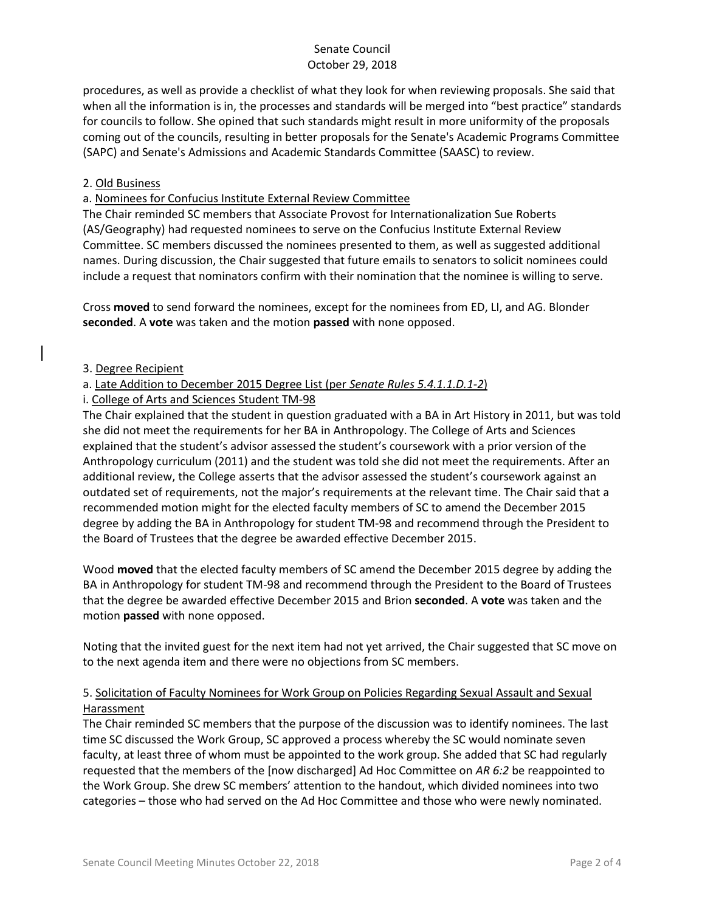procedures, as well as provide a checklist of what they look for when reviewing proposals. She said that when all the information is in, the processes and standards will be merged into "best practice" standards for councils to follow. She opined that such standards might result in more uniformity of the proposals coming out of the councils, resulting in better proposals for the Senate's Academic Programs Committee (SAPC) and Senate's Admissions and Academic Standards Committee (SAASC) to review.

#### 2. Old Business

a. Nominees for Confucius Institute External Review Committee

The Chair reminded SC members that Associate Provost for Internationalization Sue Roberts (AS/Geography) had requested nominees to serve on the Confucius Institute External Review Committee. SC members discussed the nominees presented to them, as well as suggested additional names. During discussion, the Chair suggested that future emails to senators to solicit nominees could include a request that nominators confirm with their nomination that the nominee is willing to serve.

Cross **moved** to send forward the nominees, except for the nominees from ED, LI, and AG. Blonder **seconded**. A **vote** was taken and the motion **passed** with none opposed.

#### 3. Degree Recipient

### a. Late Addition to December 2015 Degree List (per *Senate Rules 5.4.1.1.D.1-2*)

### i. College of Arts and Sciences Student TM-98

The Chair explained that the student in question graduated with a BA in Art History in 2011, but was told she did not meet the requirements for her BA in Anthropology. The College of Arts and Sciences explained that the student's advisor assessed the student's coursework with a prior version of the Anthropology curriculum (2011) and the student was told she did not meet the requirements. After an additional review, the College asserts that the advisor assessed the student's coursework against an outdated set of requirements, not the major's requirements at the relevant time. The Chair said that a recommended motion might for the elected faculty members of SC to amend the December 2015 degree by adding the BA in Anthropology for student TM-98 and recommend through the President to the Board of Trustees that the degree be awarded effective December 2015.

Wood **moved** that the elected faculty members of SC amend the December 2015 degree by adding the BA in Anthropology for student TM-98 and recommend through the President to the Board of Trustees that the degree be awarded effective December 2015 and Brion **seconded**. A **vote** was taken and the motion **passed** with none opposed.

Noting that the invited guest for the next item had not yet arrived, the Chair suggested that SC move on to the next agenda item and there were no objections from SC members.

# 5. Solicitation of Faculty Nominees for Work Group on Policies Regarding Sexual Assault and Sexual **Harassment**

The Chair reminded SC members that the purpose of the discussion was to identify nominees. The last time SC discussed the Work Group, SC approved a process whereby the SC would nominate seven faculty, at least three of whom must be appointed to the work group. She added that SC had regularly requested that the members of the [now discharged] Ad Hoc Committee on *AR 6:2* be reappointed to the Work Group. She drew SC members' attention to the handout, which divided nominees into two categories – those who had served on the Ad Hoc Committee and those who were newly nominated.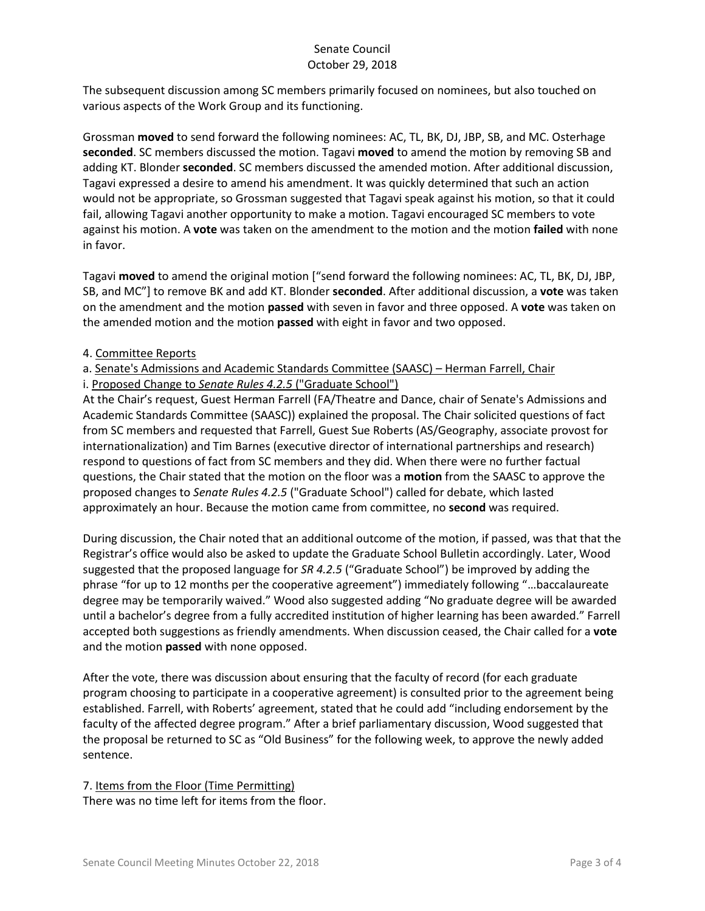The subsequent discussion among SC members primarily focused on nominees, but also touched on various aspects of the Work Group and its functioning.

Grossman **moved** to send forward the following nominees: AC, TL, BK, DJ, JBP, SB, and MC. Osterhage **seconded**. SC members discussed the motion. Tagavi **moved** to amend the motion by removing SB and adding KT. Blonder **seconded**. SC members discussed the amended motion. After additional discussion, Tagavi expressed a desire to amend his amendment. It was quickly determined that such an action would not be appropriate, so Grossman suggested that Tagavi speak against his motion, so that it could fail, allowing Tagavi another opportunity to make a motion. Tagavi encouraged SC members to vote against his motion. A **vote** was taken on the amendment to the motion and the motion **failed** with none in favor.

Tagavi **moved** to amend the original motion ["send forward the following nominees: AC, TL, BK, DJ, JBP, SB, and MC"] to remove BK and add KT. Blonder **seconded**. After additional discussion, a **vote** was taken on the amendment and the motion **passed** with seven in favor and three opposed. A **vote** was taken on the amended motion and the motion **passed** with eight in favor and two opposed.

### 4. Committee Reports

# a. Senate's Admissions and Academic Standards Committee (SAASC) – Herman Farrell, Chair

i. Proposed Change to *Senate Rules 4.2.5* ("Graduate School")

At the Chair's request, Guest Herman Farrell (FA/Theatre and Dance, chair of Senate's Admissions and Academic Standards Committee (SAASC)) explained the proposal. The Chair solicited questions of fact from SC members and requested that Farrell, Guest Sue Roberts (AS/Geography, associate provost for internationalization) and Tim Barnes (executive director of international partnerships and research) respond to questions of fact from SC members and they did. When there were no further factual questions, the Chair stated that the motion on the floor was a **motion** from the SAASC to approve the proposed changes to *Senate Rules 4.2.5* ("Graduate School") called for debate, which lasted approximately an hour. Because the motion came from committee, no **second** was required.

During discussion, the Chair noted that an additional outcome of the motion, if passed, was that that the Registrar's office would also be asked to update the Graduate School Bulletin accordingly. Later, Wood suggested that the proposed language for *SR 4.2.5* ("Graduate School") be improved by adding the phrase "for up to 12 months per the cooperative agreement") immediately following "…baccalaureate degree may be temporarily waived." Wood also suggested adding "No graduate degree will be awarded until a bachelor's degree from a fully accredited institution of higher learning has been awarded." Farrell accepted both suggestions as friendly amendments. When discussion ceased, the Chair called for a **vote** and the motion **passed** with none opposed.

After the vote, there was discussion about ensuring that the faculty of record (for each graduate program choosing to participate in a cooperative agreement) is consulted prior to the agreement being established. Farrell, with Roberts' agreement, stated that he could add "including endorsement by the faculty of the affected degree program." After a brief parliamentary discussion, Wood suggested that the proposal be returned to SC as "Old Business" for the following week, to approve the newly added sentence.

7. Items from the Floor (Time Permitting) There was no time left for items from the floor.